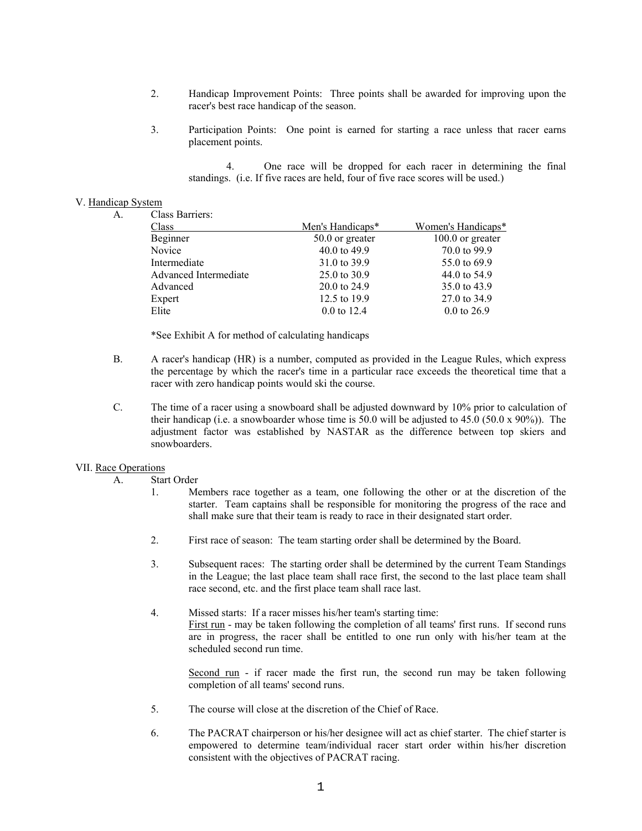- 2. Handicap Improvement Points: Three points shall be awarded for improving upon the racer's best race handicap of the season.
- 3. Participation Points: One point is earned for starting a race unless that racer earns placement points.

4. One race will be dropped for each racer in determining the final standings. (i.e. If five races are held, four of five race scores will be used.)

## V. Handicap System

A. Class Barriers:

| Chubb Duffferb.       |                        |                        |
|-----------------------|------------------------|------------------------|
| Class                 | Men's Handicaps*       | Women's Handicaps*     |
| Beginner              | 50.0 or greater        | $100.0$ or greater     |
| Novice                | 40.0 to 49.9           | 70.0 to 99.9           |
| Intermediate          | 31.0 to 39.9           | 55.0 to 69.9           |
| Advanced Intermediate | 25.0 to 30.9           | 44.0 to 54.9           |
| Advanced              | 20.0 to 24.9           | 35.0 to 43.9           |
| Expert                | 12.5 to 19.9           | 27.0 to 34.9           |
| Elite                 | $0.0 \text{ to } 12.4$ | $0.0 \text{ to } 26.9$ |
|                       |                        |                        |

\*See Exhibit A for method of calculating handicaps

- B. A racer's handicap (HR) is a number, computed as provided in the League Rules, which express the percentage by which the racer's time in a particular race exceeds the theoretical time that a racer with zero handicap points would ski the course.
- C. The time of a racer using a snowboard shall be adjusted downward by 10% prior to calculation of their handicap (i.e. a snowboarder whose time is  $50.0$  will be adjusted to  $45.0$  ( $50.0 \times 90\%$ )). The adjustment factor was established by NASTAR as the difference between top skiers and snowboarders.

## VII. Race Operations

- A. Start Order
	- 1. Members race together as a team, one following the other or at the discretion of the starter. Team captains shall be responsible for monitoring the progress of the race and shall make sure that their team is ready to race in their designated start order.
	- 2. First race of season: The team starting order shall be determined by the Board.
	- 3. Subsequent races: The starting order shall be determined by the current Team Standings in the League; the last place team shall race first, the second to the last place team shall race second, etc. and the first place team shall race last.
	- 4. Missed starts: If a racer misses his/her team's starting time: First run - may be taken following the completion of all teams' first runs. If second runs are in progress, the racer shall be entitled to one run only with his/her team at the scheduled second run time.

Second run - if racer made the first run, the second run may be taken following completion of all teams' second runs.

- 5. The course will close at the discretion of the Chief of Race.
- 6. The PACRAT chairperson or his/her designee will act as chief starter. The chief starter is empowered to determine team/individual racer start order within his/her discretion consistent with the objectives of PACRAT racing.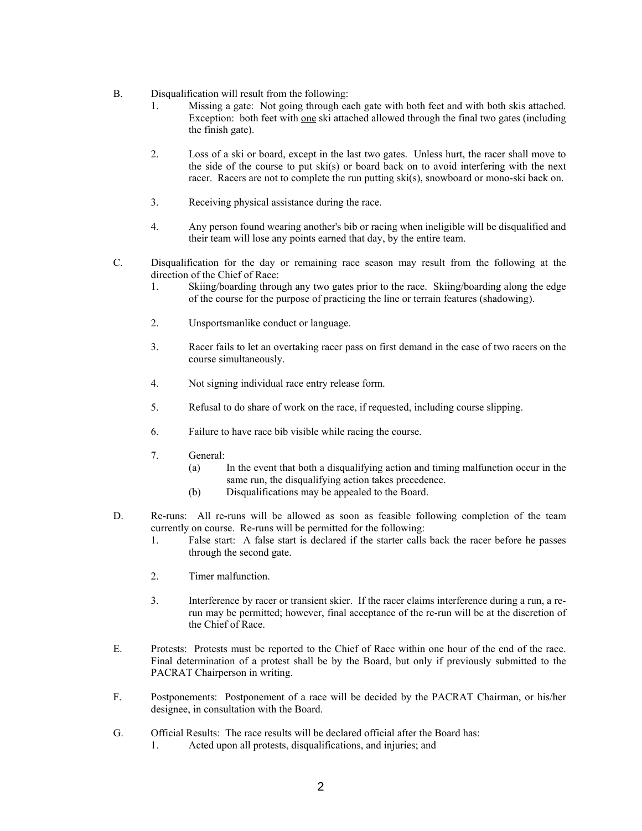- B. Disqualification will result from the following:
	- 1. Missing a gate: Not going through each gate with both feet and with both skis attached. Exception: both feet with one ski attached allowed through the final two gates (including the finish gate).
	- 2. Loss of a ski or board, except in the last two gates. Unless hurt, the racer shall move to the side of the course to put ski(s) or board back on to avoid interfering with the next racer. Racers are not to complete the run putting ski(s), snowboard or mono-ski back on.
	- 3. Receiving physical assistance during the race.
	- 4. Any person found wearing another's bib or racing when ineligible will be disqualified and their team will lose any points earned that day, by the entire team.
- C. Disqualification for the day or remaining race season may result from the following at the direction of the Chief of Race:
	- 1. Skiing/boarding through any two gates prior to the race. Skiing/boarding along the edge of the course for the purpose of practicing the line or terrain features (shadowing).
	- 2. Unsportsmanlike conduct or language.
	- 3. Racer fails to let an overtaking racer pass on first demand in the case of two racers on the course simultaneously.
	- 4. Not signing individual race entry release form.
	- 5. Refusal to do share of work on the race, if requested, including course slipping.
	- 6. Failure to have race bib visible while racing the course.
	- 7. General:
		- (a) In the event that both a disqualifying action and timing malfunction occur in the same run, the disqualifying action takes precedence.
		- (b) Disqualifications may be appealed to the Board.
- D. Re-runs: All re-runs will be allowed as soon as feasible following completion of the team currently on course. Re-runs will be permitted for the following:
	- 1. False start: A false start is declared if the starter calls back the racer before he passes through the second gate.
	- 2. Timer malfunction.
	- 3. Interference by racer or transient skier. If the racer claims interference during a run, a rerun may be permitted; however, final acceptance of the re-run will be at the discretion of the Chief of Race.
- E. Protests: Protests must be reported to the Chief of Race within one hour of the end of the race. Final determination of a protest shall be by the Board, but only if previously submitted to the PACRAT Chairperson in writing.
- F. Postponements: Postponement of a race will be decided by the PACRAT Chairman, or his/her designee, in consultation with the Board.
- G. Official Results: The race results will be declared official after the Board has:
	- 1. Acted upon all protests, disqualifications, and injuries; and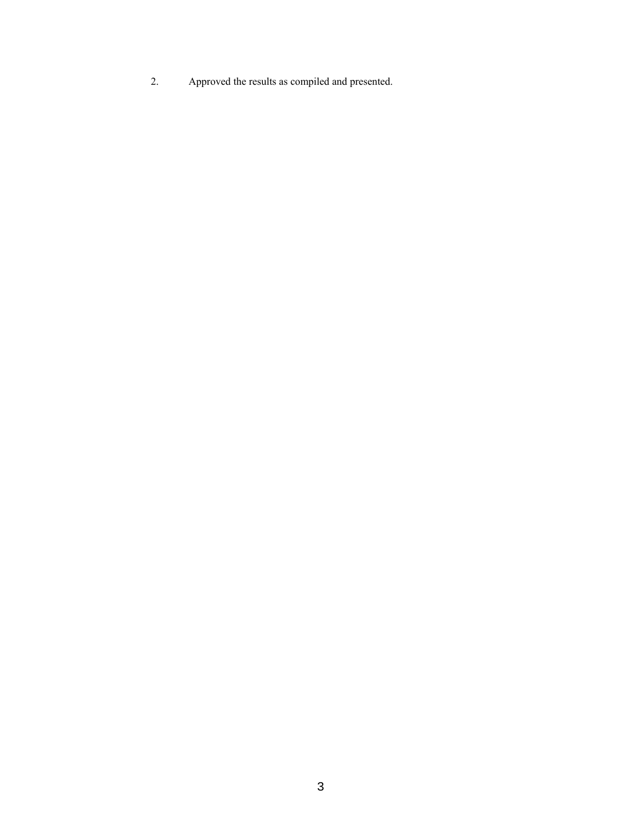2. Approved the results as compiled and presented.